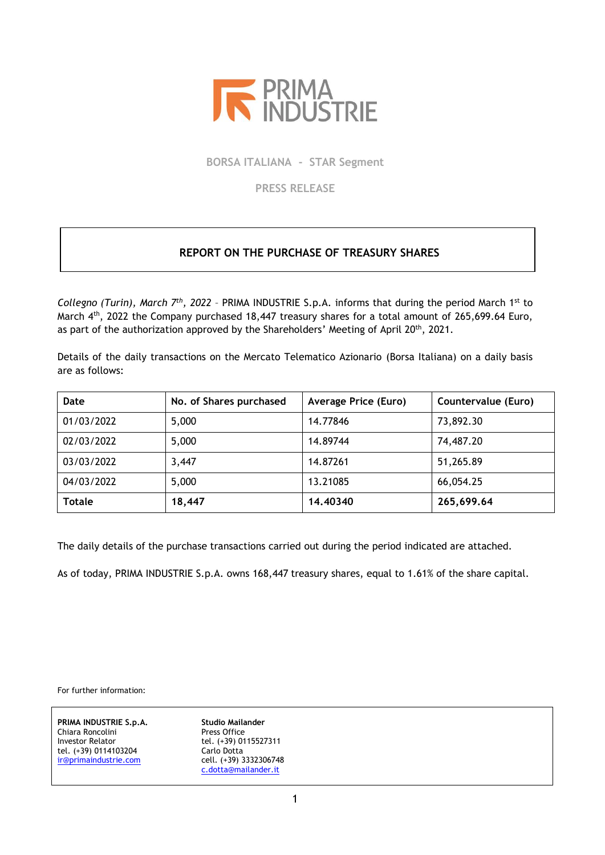

**BORSA ITALIANA - STAR Segment**

**PRESS RELEASE**

## **REPORT ON THE PURCHASE OF TREASURY SHARES**

Collegno (Turin), March 7<sup>th</sup>, 2022 - PRIMA INDUSTRIE S.p.A. informs that during the period March 1<sup>st</sup> to March 4<sup>th</sup>, 2022 the Company purchased 18,447 treasury shares for a total amount of 265,699.64 Euro, as part of the authorization approved by the Shareholders' Meeting of April 20<sup>th</sup>, 2021.

Details of the daily transactions on the Mercato Telematico Azionario (Borsa Italiana) on a daily basis are as follows:

| Date          | No. of Shares purchased | <b>Average Price (Euro)</b> | Countervalue (Euro) |
|---------------|-------------------------|-----------------------------|---------------------|
| 01/03/2022    | 5,000                   | 14.77846                    | 73,892.30           |
| 02/03/2022    | 5,000                   | 14.89744                    | 74,487.20           |
| 03/03/2022    | 3,447                   | 14.87261                    | 51,265.89           |
| 04/03/2022    | 5,000                   | 13.21085                    | 66,054.25           |
| <b>Totale</b> | 18,447                  | 14,40340                    | 265,699.64          |

The daily details of the purchase transactions carried out during the period indicated are attached.

As of today, PRIMA INDUSTRIE S.p.A. owns 168,447 treasury shares, equal to 1.61% of the share capital.

For further information:

**PRIMA INDUSTRIE S.p.A. Studio Mailander** Chiara Roncolini **Press Office**<br>
Investor Relator **Press Chiaram Press Office** tel. (+39) 0114103204 Carlo Dotta [ir@primaindustrie.com](mailto:ir@primaindustrie.com)

tel. (+39) 0115527311<br>Carlo Dotta [c.dotta@mailander.it](mailto:c.dotta@mailander.it)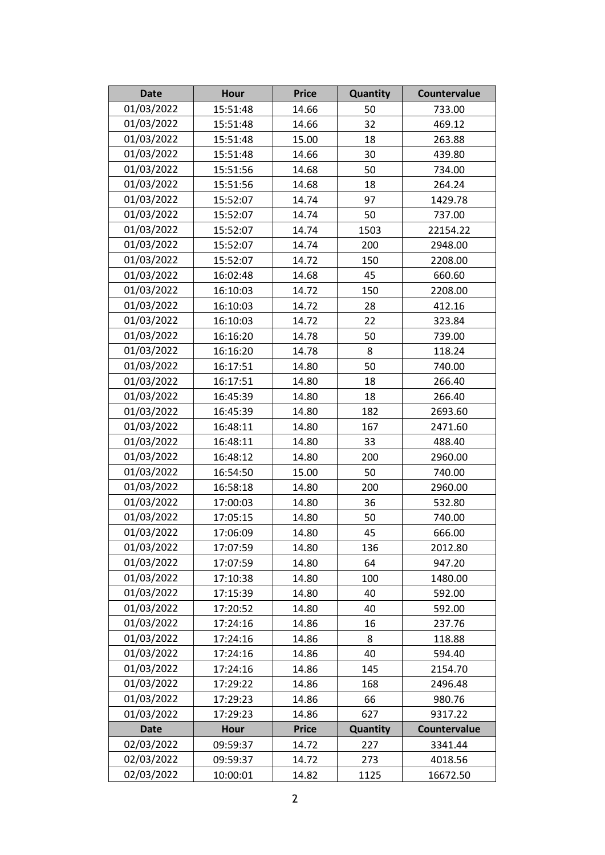| <b>Date</b> | <b>Hour</b> | <b>Price</b> | Quantity | Countervalue |
|-------------|-------------|--------------|----------|--------------|
| 01/03/2022  | 15:51:48    | 14.66        | 50       | 733.00       |
| 01/03/2022  | 15:51:48    | 14.66        | 32       | 469.12       |
| 01/03/2022  | 15:51:48    | 15.00        | 18       | 263.88       |
| 01/03/2022  | 15:51:48    | 14.66        | 30       | 439.80       |
| 01/03/2022  | 15:51:56    | 14.68        | 50       | 734.00       |
| 01/03/2022  | 15:51:56    | 14.68        | 18       | 264.24       |
| 01/03/2022  | 15:52:07    | 14.74        | 97       | 1429.78      |
| 01/03/2022  | 15:52:07    | 14.74        | 50       | 737.00       |
| 01/03/2022  | 15:52:07    | 14.74        | 1503     | 22154.22     |
| 01/03/2022  | 15:52:07    | 14.74        | 200      | 2948.00      |
| 01/03/2022  | 15:52:07    | 14.72        | 150      | 2208.00      |
| 01/03/2022  | 16:02:48    | 14.68        | 45       | 660.60       |
| 01/03/2022  | 16:10:03    | 14.72        | 150      | 2208.00      |
| 01/03/2022  | 16:10:03    | 14.72        | 28       | 412.16       |
| 01/03/2022  | 16:10:03    | 14.72        | 22       | 323.84       |
| 01/03/2022  | 16:16:20    | 14.78        | 50       | 739.00       |
| 01/03/2022  | 16:16:20    | 14.78        | 8        | 118.24       |
| 01/03/2022  | 16:17:51    | 14.80        | 50       | 740.00       |
| 01/03/2022  | 16:17:51    | 14.80        | 18       | 266.40       |
| 01/03/2022  | 16:45:39    | 14.80        | 18       | 266.40       |
| 01/03/2022  | 16:45:39    | 14.80        | 182      | 2693.60      |
| 01/03/2022  | 16:48:11    | 14.80        | 167      | 2471.60      |
| 01/03/2022  | 16:48:11    | 14.80        | 33       | 488.40       |
| 01/03/2022  | 16:48:12    | 14.80        | 200      | 2960.00      |
| 01/03/2022  | 16:54:50    | 15.00        | 50       | 740.00       |
| 01/03/2022  | 16:58:18    | 14.80        | 200      | 2960.00      |
| 01/03/2022  | 17:00:03    | 14.80        | 36       | 532.80       |
| 01/03/2022  | 17:05:15    | 14.80        | 50       | 740.00       |
| 01/03/2022  | 17:06:09    | 14.80        | 45       | 666.00       |
| 01/03/2022  | 17:07:59    | 14.80        | 136      | 2012.80      |
| 01/03/2022  | 17:07:59    | 14.80        | 64       | 947.20       |
| 01/03/2022  | 17:10:38    | 14.80        | 100      | 1480.00      |
| 01/03/2022  | 17:15:39    | 14.80        | 40       | 592.00       |
| 01/03/2022  | 17:20:52    | 14.80        | 40       | 592.00       |
| 01/03/2022  | 17:24:16    | 14.86        | 16       | 237.76       |
| 01/03/2022  | 17:24:16    | 14.86        | 8        | 118.88       |
| 01/03/2022  | 17:24:16    | 14.86        | 40       | 594.40       |
| 01/03/2022  | 17:24:16    | 14.86        | 145      | 2154.70      |
| 01/03/2022  | 17:29:22    | 14.86        | 168      | 2496.48      |
| 01/03/2022  | 17:29:23    | 14.86        | 66       | 980.76       |
| 01/03/2022  | 17:29:23    | 14.86        | 627      | 9317.22      |
| <b>Date</b> | <b>Hour</b> | <b>Price</b> | Quantity | Countervalue |
| 02/03/2022  | 09:59:37    | 14.72        | 227      | 3341.44      |
| 02/03/2022  | 09:59:37    | 14.72        | 273      | 4018.56      |
| 02/03/2022  | 10:00:01    | 14.82        | 1125     | 16672.50     |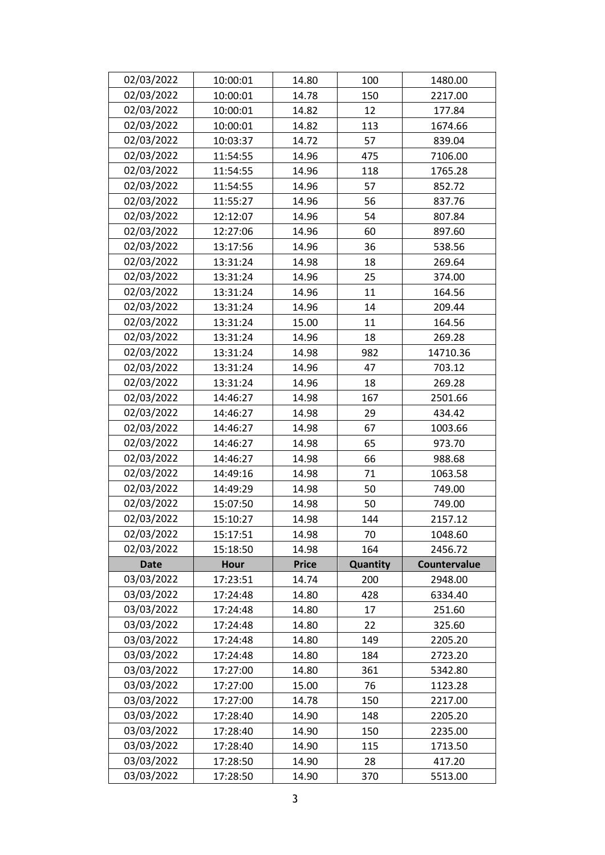| 02/03/2022  | 10:00:01    | 14.80        | 100      | 1480.00      |
|-------------|-------------|--------------|----------|--------------|
| 02/03/2022  | 10:00:01    | 14.78        | 150      | 2217.00      |
| 02/03/2022  | 10:00:01    | 14.82        | 12       | 177.84       |
| 02/03/2022  | 10:00:01    | 14.82        | 113      | 1674.66      |
| 02/03/2022  | 10:03:37    | 14.72        | 57       | 839.04       |
| 02/03/2022  | 11:54:55    | 14.96        | 475      | 7106.00      |
| 02/03/2022  | 11:54:55    | 14.96        | 118      | 1765.28      |
| 02/03/2022  | 11:54:55    | 14.96        | 57       | 852.72       |
| 02/03/2022  | 11:55:27    | 14.96        | 56       | 837.76       |
| 02/03/2022  | 12:12:07    | 14.96        | 54       | 807.84       |
| 02/03/2022  | 12:27:06    | 14.96        | 60       | 897.60       |
| 02/03/2022  | 13:17:56    | 14.96        | 36       | 538.56       |
| 02/03/2022  | 13:31:24    | 14.98        | 18       | 269.64       |
| 02/03/2022  | 13:31:24    | 14.96        | 25       | 374.00       |
| 02/03/2022  | 13:31:24    | 14.96        | 11       | 164.56       |
| 02/03/2022  | 13:31:24    | 14.96        | 14       | 209.44       |
| 02/03/2022  | 13:31:24    | 15.00        | 11       | 164.56       |
| 02/03/2022  | 13:31:24    | 14.96        | 18       | 269.28       |
| 02/03/2022  | 13:31:24    | 14.98        | 982      | 14710.36     |
| 02/03/2022  | 13:31:24    | 14.96        | 47       | 703.12       |
| 02/03/2022  | 13:31:24    | 14.96        | 18       | 269.28       |
| 02/03/2022  | 14:46:27    | 14.98        | 167      | 2501.66      |
| 02/03/2022  | 14:46:27    | 14.98        | 29       | 434.42       |
| 02/03/2022  | 14:46:27    | 14.98        | 67       | 1003.66      |
| 02/03/2022  | 14:46:27    | 14.98        | 65       | 973.70       |
| 02/03/2022  | 14:46:27    | 14.98        | 66       | 988.68       |
| 02/03/2022  | 14:49:16    | 14.98        | 71       | 1063.58      |
| 02/03/2022  | 14:49:29    | 14.98        | 50       | 749.00       |
| 02/03/2022  | 15:07:50    | 14.98        | 50       | 749.00       |
| 02/03/2022  | 15:10:27    | 14.98        | 144      | 2157.12      |
| 02/03/2022  | 15:17:51    | 14.98        | 70       | 1048.60      |
| 02/03/2022  | 15:18:50    | 14.98        | 164      | 2456.72      |
| <b>Date</b> | <b>Hour</b> | <b>Price</b> | Quantity | Countervalue |
| 03/03/2022  | 17:23:51    | 14.74        | 200      | 2948.00      |
| 03/03/2022  | 17:24:48    | 14.80        | 428      | 6334.40      |
| 03/03/2022  | 17:24:48    | 14.80        | 17       | 251.60       |
| 03/03/2022  | 17:24:48    | 14.80        | 22       | 325.60       |
| 03/03/2022  | 17:24:48    | 14.80        | 149      | 2205.20      |
| 03/03/2022  | 17:24:48    | 14.80        | 184      | 2723.20      |
| 03/03/2022  | 17:27:00    | 14.80        | 361      | 5342.80      |
| 03/03/2022  | 17:27:00    | 15.00        | 76       | 1123.28      |
| 03/03/2022  | 17:27:00    | 14.78        | 150      | 2217.00      |
| 03/03/2022  | 17:28:40    | 14.90        | 148      | 2205.20      |
| 03/03/2022  | 17:28:40    | 14.90        | 150      | 2235.00      |
| 03/03/2022  | 17:28:40    | 14.90        | 115      | 1713.50      |
| 03/03/2022  | 17:28:50    | 14.90        | 28       | 417.20       |
| 03/03/2022  | 17:28:50    | 14.90        | 370      | 5513.00      |